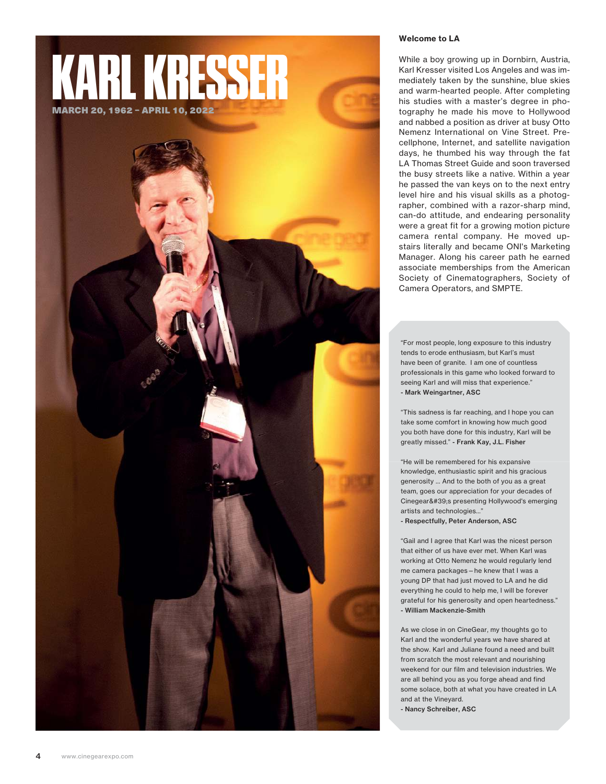



## Welcome to LA

While a boy growing up in Dornbirn, Austria, Karl Kresser visited Los Angeles and was immediately taken by the sunshine, blue skies and warm-hearted people. After completing his studies with a master's degree in photography he made his move to Hollywood and nabbed a position as driver at busy Otto Nemenz International on Vine Street. Precellphone, Internet, and satellite navigation days, he thumbed his way through the fat LA Thomas Street Guide and soon traversed the busy streets like a native. Within a year he passed the van keys on to the next entry level hire and his visual skills as a photographer, combined with a razor-sharp mind, can-do attitude, and endearing personality were a great fit for a growing motion picture camera rental company. He moved upstairs literally and became ONI's Marketing Manager. Along his career path he earned associate memberships from the American Society of Cinematographers, Society of Camera Operators, and SMPTE.

"For most people, long exposure to this industry tends to erode enthusiasm, but Karl's must have been of granite. I am one of countless professionals in this game who looked forward to seeing Karl and will miss that experience." - Mark Weingartner, ASC

"This sadness is far reaching, and I hope you can take some comfort in knowing how much good you both have done for this industry, Karl will be greatly missed." - Frank Kay, J.L. Fisher

"He will be remembered for his expansive knowledge, enthusiastic spirit and his gracious generosity ... And to the both of you as a great team, goes our appreciation for your decades of Cinegear's presenting Hollywood's emerging artists and technologies..." - Respectfully, Peter Anderson, ASC

"Gail and I agree that Karl was the nicest person that either of us have ever met. When Karl was working at Otto Nemenz he would regularly lend me camera packages—he knew that I was a young DP that had just moved to LA and he did everything he could to help me, I will be forever grateful for his generosity and open heartedness." - William Mackenzie-Smith

As we close in on CineGear, my thoughts go to Karl and the wonderful years we have shared at the show. Karl and Juliane found a need and built from scratch the most relevant and nourishing weekend for our film and television industries. We are all behind you as you forge ahead and find some solace, both at what you have created in LA and at the Vineyard.

- Nancy Schreiber, ASC